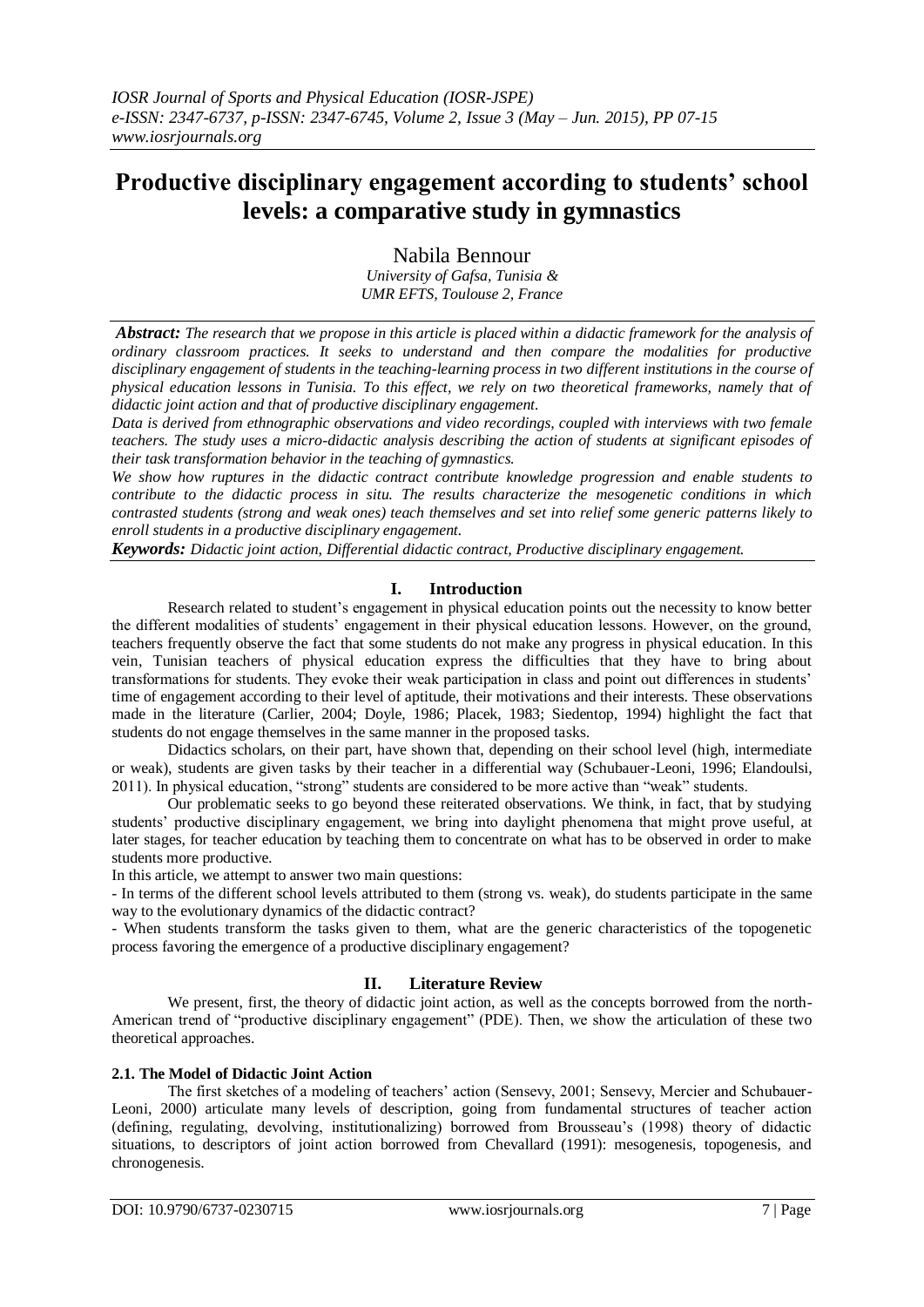# **Productive disciplinary engagement according to students' school levels: a comparative study in gymnastics**

Nabila Bennour

*University of Gafsa, Tunisia & UMR EFTS, Toulouse 2, France*

*Abstract: The research that we propose in this article is placed within a didactic framework for the analysis of ordinary classroom practices. It seeks to understand and then compare the modalities for productive disciplinary engagement of students in the teaching-learning process in two different institutions in the course of physical education lessons in Tunisia. To this effect, we rely on two theoretical frameworks, namely that of didactic joint action and that of productive disciplinary engagement.*

*Data is derived from ethnographic observations and video recordings, coupled with interviews with two female teachers. The study uses a micro-didactic analysis describing the action of students at significant episodes of their task transformation behavior in the teaching of gymnastics.*

*We show how ruptures in the didactic contract contribute knowledge progression and enable students to contribute to the didactic process in situ. The results characterize the mesogenetic conditions in which contrasted students (strong and weak ones) teach themselves and set into relief some generic patterns likely to enroll students in a productive disciplinary engagement.*

*Keywords: Didactic joint action, Differential didactic contract, Productive disciplinary engagement.*

## **I. Introduction**

Research related to student's engagement in physical education points out the necessity to know better the different modalities of students' engagement in their physical education lessons. However, on the ground, teachers frequently observe the fact that some students do not make any progress in physical education. In this vein, Tunisian teachers of physical education express the difficulties that they have to bring about transformations for students. They evoke their weak participation in class and point out differences in students' time of engagement according to their level of aptitude, their motivations and their interests. These observations made in the literature (Carlier, 2004; Doyle, 1986; Placek, 1983; Siedentop, 1994) highlight the fact that students do not engage themselves in the same manner in the proposed tasks.

Didactics scholars, on their part, have shown that, depending on their school level (high, intermediate or weak), students are given tasks by their teacher in a differential way (Schubauer-Leoni, 1996; Elandoulsi, 2011). In physical education, "strong" students are considered to be more active than "weak" students.

Our problematic seeks to go beyond these reiterated observations. We think, in fact, that by studying students' productive disciplinary engagement, we bring into daylight phenomena that might prove useful, at later stages, for teacher education by teaching them to concentrate on what has to be observed in order to make students more productive.

In this article, we attempt to answer two main questions:

- In terms of the different school levels attributed to them (strong vs. weak), do students participate in the same way to the evolutionary dynamics of the didactic contract?

- When students transform the tasks given to them, what are the generic characteristics of the topogenetic process favoring the emergence of a productive disciplinary engagement?

## **II. Literature Review**

We present, first, the theory of didactic joint action, as well as the concepts borrowed from the north-American trend of "productive disciplinary engagement" (PDE). Then, we show the articulation of these two theoretical approaches.

## **2.1. The Model of Didactic Joint Action**

The first sketches of a modeling of teachers' action (Sensevy, 2001; Sensevy, Mercier and Schubauer-Leoni, 2000) articulate many levels of description, going from fundamental structures of teacher action (defining, regulating, devolving, institutionalizing) borrowed from Brousseau's (1998) theory of didactic situations, to descriptors of joint action borrowed from Chevallard (1991): mesogenesis, topogenesis, and chronogenesis.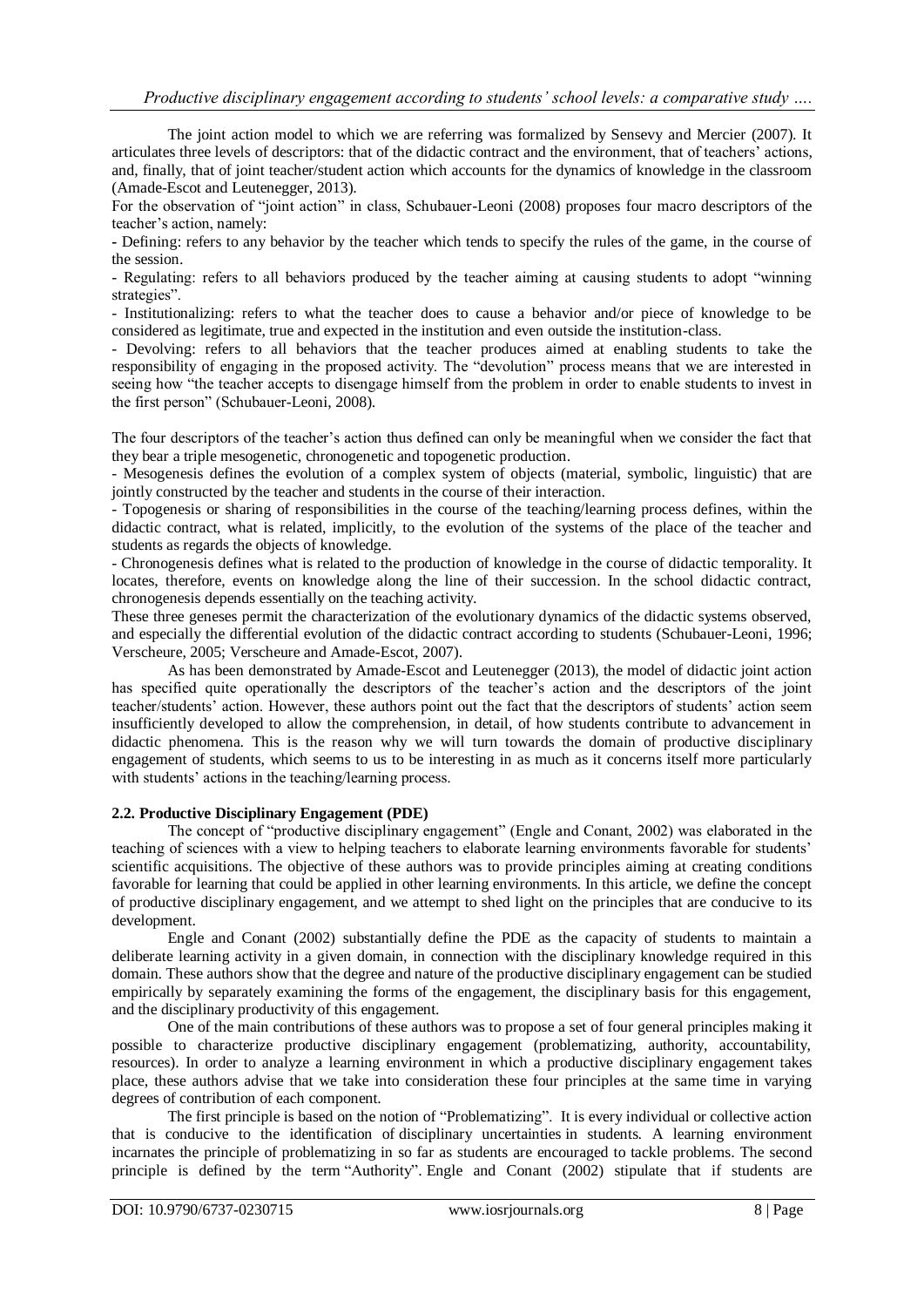The joint action model to which we are referring was formalized by Sensevy and Mercier (2007). It articulates three levels of descriptors: that of the didactic contract and the environment, that of teachers' actions, and, finally, that of joint teacher/student action which accounts for the dynamics of knowledge in the classroom (Amade-Escot and Leutenegger, 2013).

For the observation of "joint action" in class, Schubauer-Leoni (2008) proposes four macro descriptors of the teacher's action, namely:

**-** Defining: refers to any behavior by the teacher which tends to specify the rules of the game, in the course of the session.

- Regulating: refers to all behaviors produced by the teacher aiming at causing students to adopt "winning strategies".

- Institutionalizing: refers to what the teacher does to cause a behavior and/or piece of knowledge to be considered as legitimate, true and expected in the institution and even outside the institution-class.

- Devolving: refers to all behaviors that the teacher produces aimed at enabling students to take the responsibility of engaging in the proposed activity. The "devolution" process means that we are interested in seeing how "the teacher accepts to disengage himself from the problem in order to enable students to invest in the first person" (Schubauer-Leoni, 2008).

The four descriptors of the teacher's action thus defined can only be meaningful when we consider the fact that they bear a triple mesogenetic, chronogenetic and topogenetic production.

- Mesogenesis defines the evolution of a complex system of objects (material, symbolic, linguistic) that are jointly constructed by the teacher and students in the course of their interaction.

- Topogenesis or sharing of responsibilities in the course of the teaching/learning process defines, within the didactic contract, what is related, implicitly, to the evolution of the systems of the place of the teacher and students as regards the objects of knowledge.

- Chronogenesis defines what is related to the production of knowledge in the course of didactic temporality. It locates, therefore, events on knowledge along the line of their succession. In the school didactic contract, chronogenesis depends essentially on the teaching activity.

These three geneses permit the characterization of the evolutionary dynamics of the didactic systems observed, and especially the differential evolution of the didactic contract according to students (Schubauer-Leoni, 1996; Verscheure, 2005; Verscheure and Amade-Escot, 2007).

As has been demonstrated by Amade-Escot and Leutenegger (2013), the model of didactic joint action has specified quite operationally the descriptors of the teacher's action and the descriptors of the joint teacher/students' action. However, these authors point out the fact that the descriptors of students' action seem insufficiently developed to allow the comprehension, in detail, of how students contribute to advancement in didactic phenomena. This is the reason why we will turn towards the domain of productive disciplinary engagement of students, which seems to us to be interesting in as much as it concerns itself more particularly with students' actions in the teaching/learning process.

### **2.2. Productive Disciplinary Engagement (PDE)**

The concept of "productive disciplinary engagement" (Engle and Conant, 2002) was elaborated in the teaching of sciences with a view to helping teachers to elaborate learning environments favorable for students' scientific acquisitions. The objective of these authors was to provide principles aiming at creating conditions favorable for learning that could be applied in other learning environments. In this article, we define the concept of productive disciplinary engagement, and we attempt to shed light on the principles that are conducive to its development.

Engle and Conant (2002) substantially define the PDE as the capacity of students to maintain a deliberate learning activity in a given domain, in connection with the disciplinary knowledge required in this domain. These authors show that the degree and nature of the productive disciplinary engagement can be studied empirically by separately examining the forms of the engagement, the disciplinary basis for this engagement, and the disciplinary productivity of this engagement.

One of the main contributions of these authors was to propose a set of four general principles making it possible to characterize productive disciplinary engagement (problematizing, authority, accountability, resources). In order to analyze a learning environment in which a productive disciplinary engagement takes place, these authors advise that we take into consideration these four principles at the same time in varying degrees of contribution of each component.

The first principle is based on the notion of "Problematizing". It is every individual or collective action that is conducive to the identification of disciplinary uncertainties in students. A learning environment incarnates the principle of problematizing in so far as students are encouraged to tackle problems. The second principle is defined by the term "Authority". Engle and Conant (2002) stipulate that if students are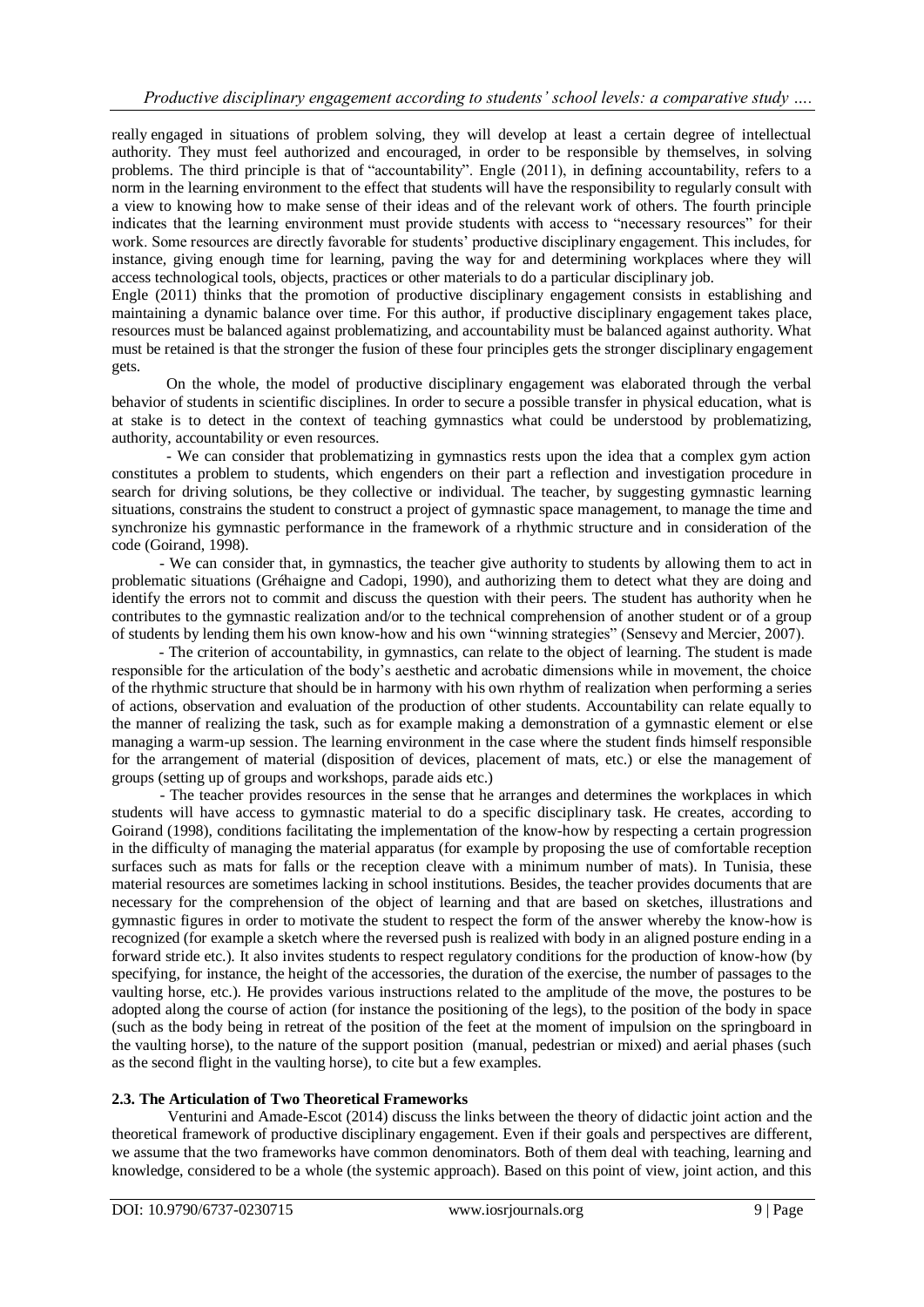really engaged in situations of problem solving, they will develop at least a certain degree of intellectual authority. They must feel authorized and encouraged, in order to be responsible by themselves, in solving problems. The third principle is that of "accountability". Engle (2011), in defining accountability, refers to a norm in the learning environment to the effect that students will have the responsibility to regularly consult with a view to knowing how to make sense of their ideas and of the relevant work of others. The fourth principle indicates that the learning environment must provide students with access to "necessary resources" for their work. Some resources are directly favorable for students' productive disciplinary engagement. This includes, for instance, giving enough time for learning, paving the way for and determining workplaces where they will access technological tools, objects, practices or other materials to do a particular disciplinary job.

Engle (2011) thinks that the promotion of productive disciplinary engagement consists in establishing and maintaining a dynamic balance over time. For this author, if productive disciplinary engagement takes place, resources must be balanced against problematizing, and accountability must be balanced against authority. What must be retained is that the stronger the fusion of these four principles gets the stronger disciplinary engagement gets.

On the whole, the model of productive disciplinary engagement was elaborated through the verbal behavior of students in scientific disciplines. In order to secure a possible transfer in physical education, what is at stake is to detect in the context of teaching gymnastics what could be understood by problematizing, authority, accountability or even resources.

- We can consider that problematizing in gymnastics rests upon the idea that a complex gym action constitutes a problem to students, which engenders on their part a reflection and investigation procedure in search for driving solutions, be they collective or individual. The teacher, by suggesting gymnastic learning situations, constrains the student to construct a project of gymnastic space management, to manage the time and synchronize his gymnastic performance in the framework of a rhythmic structure and in consideration of the code (Goirand, 1998).

 - We can consider that, in gymnastics, the teacher give authority to students by allowing them to act in problematic situations (Gréhaigne and Cadopi, 1990), and authorizing them to detect what they are doing and identify the errors not to commit and discuss the question with their peers. The student has authority when he contributes to the gymnastic realization and/or to the technical comprehension of another student or of a group of students by lending them his own know-how and his own "winning strategies" (Sensevy and Mercier, 2007).

 - The criterion of accountability, in gymnastics, can relate to the object of learning. The student is made responsible for the articulation of the body's aesthetic and acrobatic dimensions while in movement, the choice of the rhythmic structure that should be in harmony with his own rhythm of realization when performing a series of actions, observation and evaluation of the production of other students. Accountability can relate equally to the manner of realizing the task, such as for example making a demonstration of a gymnastic element or else managing a warm-up session. The learning environment in the case where the student finds himself responsible for the arrangement of material (disposition of devices, placement of mats, etc.) or else the management of groups (setting up of groups and workshops, parade aids etc.)

 - The teacher provides resources in the sense that he arranges and determines the workplaces in which students will have access to gymnastic material to do a specific disciplinary task. He creates, according to Goirand (1998), conditions facilitating the implementation of the know-how by respecting a certain progression in the difficulty of managing the material apparatus (for example by proposing the use of comfortable reception surfaces such as mats for falls or the reception cleave with a minimum number of mats). In Tunisia, these material resources are sometimes lacking in school institutions. Besides, the teacher provides documents that are necessary for the comprehension of the object of learning and that are based on sketches, illustrations and gymnastic figures in order to motivate the student to respect the form of the answer whereby the know-how is recognized (for example a sketch where the reversed push is realized with body in an aligned posture ending in a forward stride etc.). It also invites students to respect regulatory conditions for the production of know-how (by specifying, for instance, the height of the accessories, the duration of the exercise, the number of passages to the vaulting horse, etc.). He provides various instructions related to the amplitude of the move, the postures to be adopted along the course of action (for instance the positioning of the legs), to the position of the body in space (such as the body being in retreat of the position of the feet at the moment of impulsion on the springboard in the vaulting horse), to the nature of the support position (manual, pedestrian or mixed) and aerial phases (such as the second flight in the vaulting horse), to cite but a few examples.

## **2.3. The Articulation of Two Theoretical Frameworks**

Venturini and Amade-Escot (2014) discuss the links between the theory of didactic joint action and the theoretical framework of productive disciplinary engagement. Even if their goals and perspectives are different, we assume that the two frameworks have common denominators. Both of them deal with teaching, learning and knowledge, considered to be a whole (the systemic approach). Based on this point of view, joint action, and this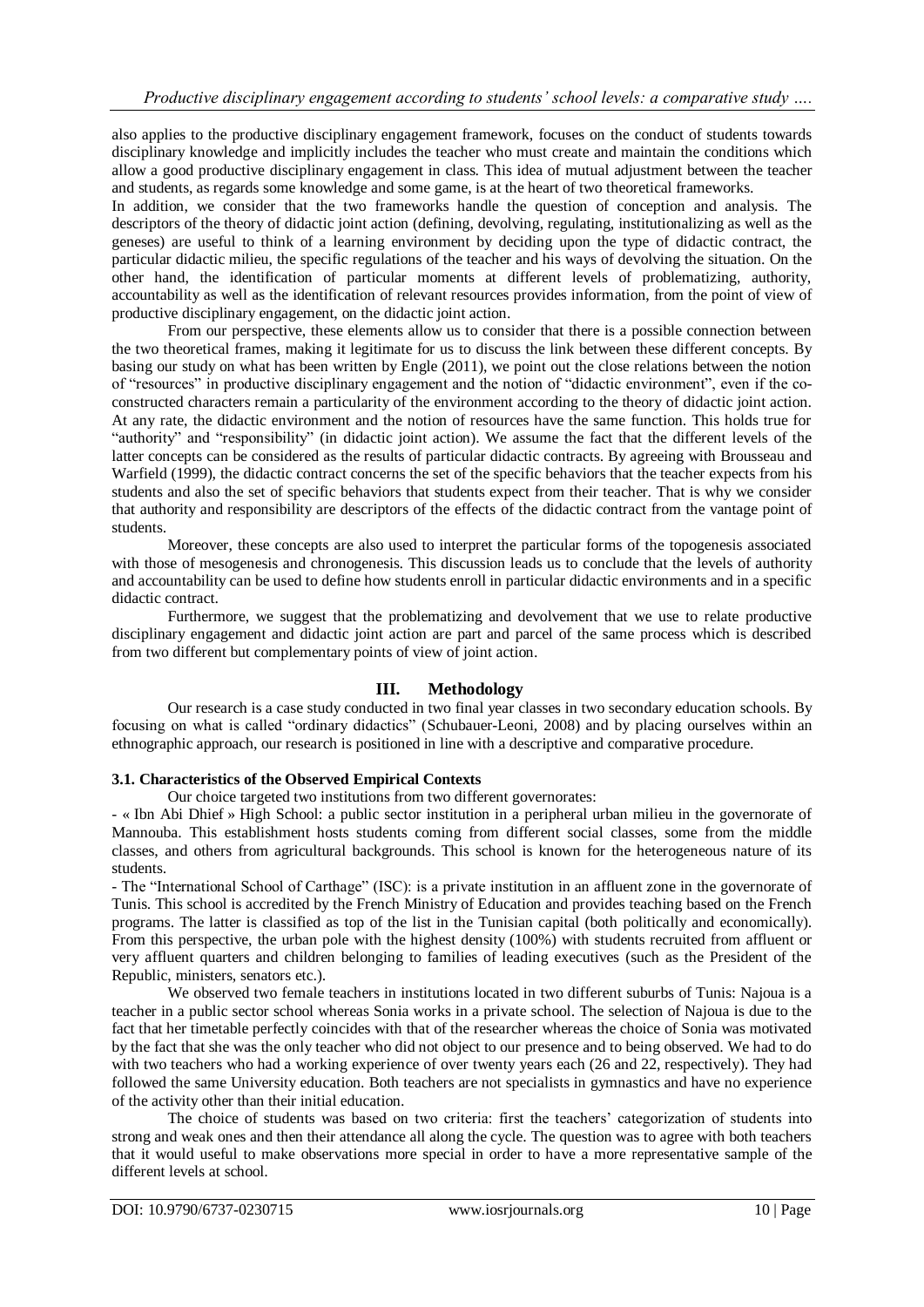also applies to the productive disciplinary engagement framework, focuses on the conduct of students towards disciplinary knowledge and implicitly includes the teacher who must create and maintain the conditions which allow a good productive disciplinary engagement in class. This idea of mutual adjustment between the teacher and students, as regards some knowledge and some game, is at the heart of two theoretical frameworks.

In addition, we consider that the two frameworks handle the question of conception and analysis. The descriptors of the theory of didactic joint action (defining, devolving, regulating, institutionalizing as well as the geneses) are useful to think of a learning environment by deciding upon the type of didactic contract, the particular didactic milieu, the specific regulations of the teacher and his ways of devolving the situation. On the other hand, the identification of particular moments at different levels of problematizing, authority, accountability as well as the identification of relevant resources provides information, from the point of view of productive disciplinary engagement, on the didactic joint action.

From our perspective, these elements allow us to consider that there is a possible connection between the two theoretical frames, making it legitimate for us to discuss the link between these different concepts. By basing our study on what has been written by Engle (2011), we point out the close relations between the notion of "resources" in productive disciplinary engagement and the notion of "didactic environment", even if the coconstructed characters remain a particularity of the environment according to the theory of didactic joint action. At any rate, the didactic environment and the notion of resources have the same function. This holds true for "authority" and "responsibility" (in didactic joint action). We assume the fact that the different levels of the latter concepts can be considered as the results of particular didactic contracts. By agreeing with Brousseau and Warfield (1999), the didactic contract concerns the set of the specific behaviors that the teacher expects from his students and also the set of specific behaviors that students expect from their teacher. That is why we consider that authority and responsibility are descriptors of the effects of the didactic contract from the vantage point of students.

Moreover, these concepts are also used to interpret the particular forms of the topogenesis associated with those of mesogenesis and chronogenesis. This discussion leads us to conclude that the levels of authority and accountability can be used to define how students enroll in particular didactic environments and in a specific didactic contract.

Furthermore, we suggest that the problematizing and devolvement that we use to relate productive disciplinary engagement and didactic joint action are part and parcel of the same process which is described from two different but complementary points of view of joint action.

## **III. Methodology**

Our research is a case study conducted in two final year classes in two secondary education schools. By focusing on what is called "ordinary didactics" (Schubauer-Leoni, 2008) and by placing ourselves within an ethnographic approach, our research is positioned in line with a descriptive and comparative procedure.

#### **3.1. Characteristics of the Observed Empirical Contexts**

Our choice targeted two institutions from two different governorates:

- « Ibn Abi Dhief » High School: a public sector institution in a peripheral urban milieu in the governorate of Mannouba. This establishment hosts students coming from different social classes, some from the middle classes, and others from agricultural backgrounds. This school is known for the heterogeneous nature of its students.

- The "International School of Carthage" (ISC): is a private institution in an affluent zone in the governorate of Tunis. This school is accredited by the French Ministry of Education and provides teaching based on the French programs. The latter is classified as top of the list in the Tunisian capital (both politically and economically). From this perspective, the urban pole with the highest density (100%) with students recruited from affluent or very affluent quarters and children belonging to families of leading executives (such as the President of the Republic, ministers, senators etc.).

We observed two female teachers in institutions located in two different suburbs of Tunis: Najoua is a teacher in a public sector school whereas Sonia works in a private school. The selection of Najoua is due to the fact that her timetable perfectly coincides with that of the researcher whereas the choice of Sonia was motivated by the fact that she was the only teacher who did not object to our presence and to being observed. We had to do with two teachers who had a working experience of over twenty years each (26 and 22, respectively). They had followed the same University education. Both teachers are not specialists in gymnastics and have no experience of the activity other than their initial education.

The choice of students was based on two criteria: first the teachers' categorization of students into strong and weak ones and then their attendance all along the cycle. The question was to agree with both teachers that it would useful to make observations more special in order to have a more representative sample of the different levels at school.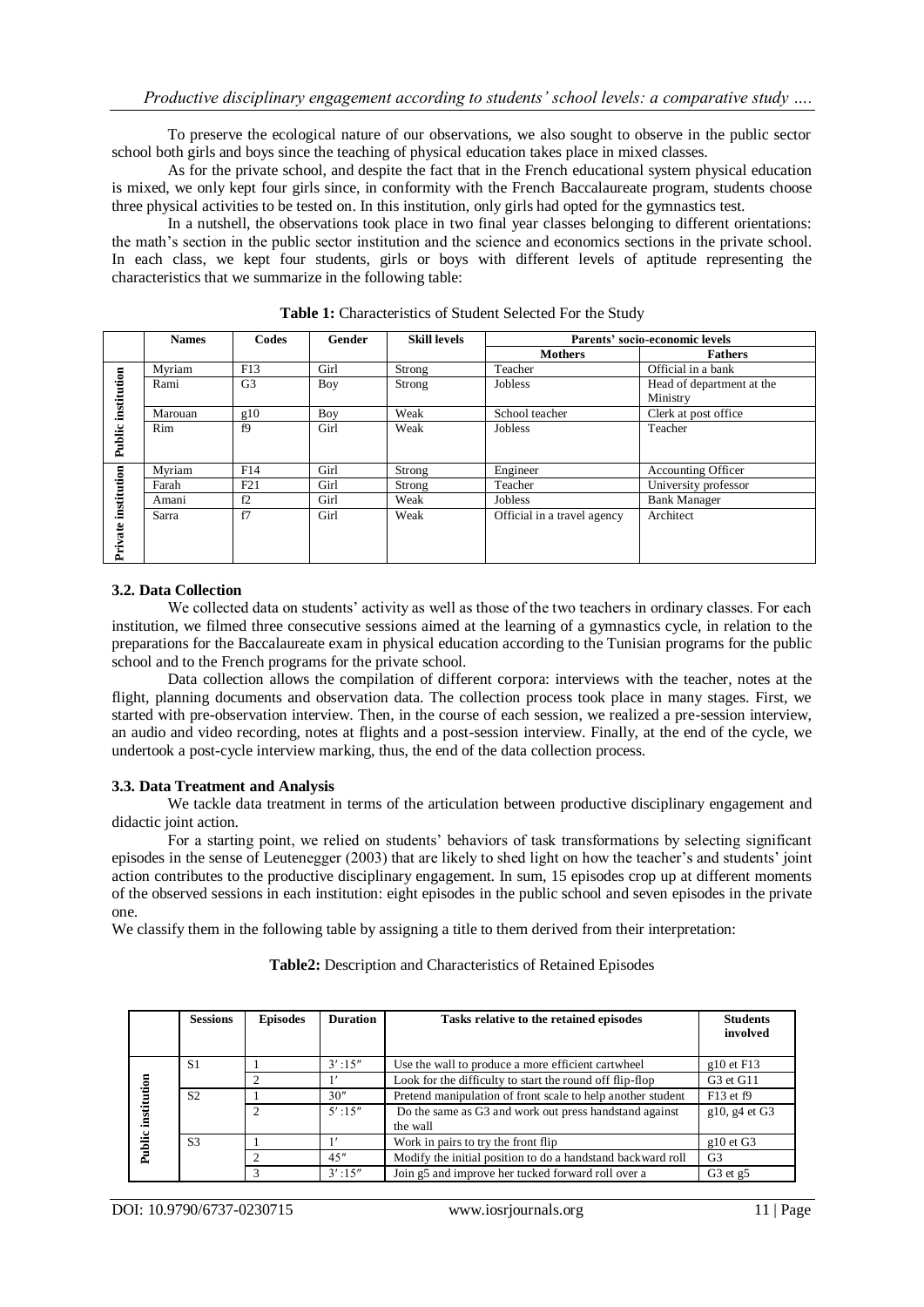To preserve the ecological nature of our observations, we also sought to observe in the public sector school both girls and boys since the teaching of physical education takes place in mixed classes.

As for the private school, and despite the fact that in the French educational system physical education is mixed, we only kept four girls since, in conformity with the French Baccalaureate program, students choose three physical activities to be tested on. In this institution, only girls had opted for the gymnastics test.

In a nutshell, the observations took place in two final year classes belonging to different orientations: the math's section in the public sector institution and the science and economics sections in the private school. In each class, we kept four students, girls or boys with different levels of aptitude representing the characteristics that we summarize in the following table:

|                        | <b>Names</b> | Codes          | Gender | <b>Skill levels</b> | Parents' socio-economic levels |                                       |  |
|------------------------|--------------|----------------|--------|---------------------|--------------------------------|---------------------------------------|--|
|                        |              |                |        |                     | <b>Mothers</b>                 | Fathers                               |  |
| institution            | Mvriam       | F13            | Girl   | Strong              | Teacher                        | Official in a bank                    |  |
|                        | Rami         | G <sub>3</sub> | Boy    | Strong              | Jobless                        | Head of department at the<br>Ministry |  |
|                        | Marouan      | g10            | Boy    | Weak                | School teacher                 | Clerk at post office                  |  |
| Public                 | Rim          | f9             | Girl   | Weak                | <b>Jobless</b>                 | Teacher                               |  |
| institution<br>Private | Myriam       | F14            | Girl   | Strong              | Engineer                       | <b>Accounting Officer</b>             |  |
|                        | Farah        | F21            | Girl   | Strong              | Teacher                        | University professor                  |  |
|                        | Amani        | f2             | Girl   | Weak                | Jobless                        | <b>Bank Manager</b>                   |  |
|                        | Sarra        | f7             | Girl   | Weak                | Official in a travel agency    | Architect                             |  |

**Table 1:** Characteristics of Student Selected For the Study

### **3.2. Data Collection**

We collected data on students' activity as well as those of the two teachers in ordinary classes. For each institution, we filmed three consecutive sessions aimed at the learning of a gymnastics cycle, in relation to the preparations for the Baccalaureate exam in physical education according to the Tunisian programs for the public school and to the French programs for the private school.

Data collection allows the compilation of different corpora: interviews with the teacher, notes at the flight, planning documents and observation data. The collection process took place in many stages. First, we started with pre-observation interview. Then, in the course of each session, we realized a pre-session interview, an audio and video recording, notes at flights and a post-session interview. Finally, at the end of the cycle, we undertook a post-cycle interview marking, thus, the end of the data collection process.

#### **3.3. Data Treatment and Analysis**

We tackle data treatment in terms of the articulation between productive disciplinary engagement and didactic joint action.

For a starting point, we relied on students' behaviors of task transformations by selecting significant episodes in the sense of Leutenegger (2003) that are likely to shed light on how the teacher's and students' joint action contributes to the productive disciplinary engagement. In sum, 15 episodes crop up at different moments of the observed sessions in each institution: eight episodes in the public school and seven episodes in the private one.

We classify them in the following table by assigning a title to them derived from their interpretation:

|                              | <b>Sessions</b> | <b>Episodes</b> | <b>Duration</b> | Tasks relative to the retained episodes                            | <b>Students</b><br>involved       |
|------------------------------|-----------------|-----------------|-----------------|--------------------------------------------------------------------|-----------------------------------|
| institution<br><b>Public</b> | S1              |                 | $3'$ :15"       | Use the wall to produce a more efficient cartwheel                 | $g10$ et F13                      |
|                              |                 |                 |                 | Look for the difficulty to start the round off flip-flop           | G <sub>3</sub> et G <sub>11</sub> |
|                              | S <sub>2</sub>  |                 | 30''            | Pretend manipulation of front scale to help another student        | $F13$ et f9                       |
|                              |                 | 2               | $5'$ :15"       | Do the same as G3 and work out press handstand against<br>the wall | $g10$ , $g4$ et G3                |
|                              | S <sub>3</sub>  |                 |                 | Work in pairs to try the front flip                                | $g10$ et G3                       |
|                              |                 |                 | 45"             | Modify the initial position to do a handstand backward roll        | G <sub>3</sub>                    |
|                              |                 |                 | $3'$ :15"       | Join g5 and improve her tucked forward roll over a                 | $G3$ et $g5$                      |

## **Table2:** Description and Characteristics of Retained Episodes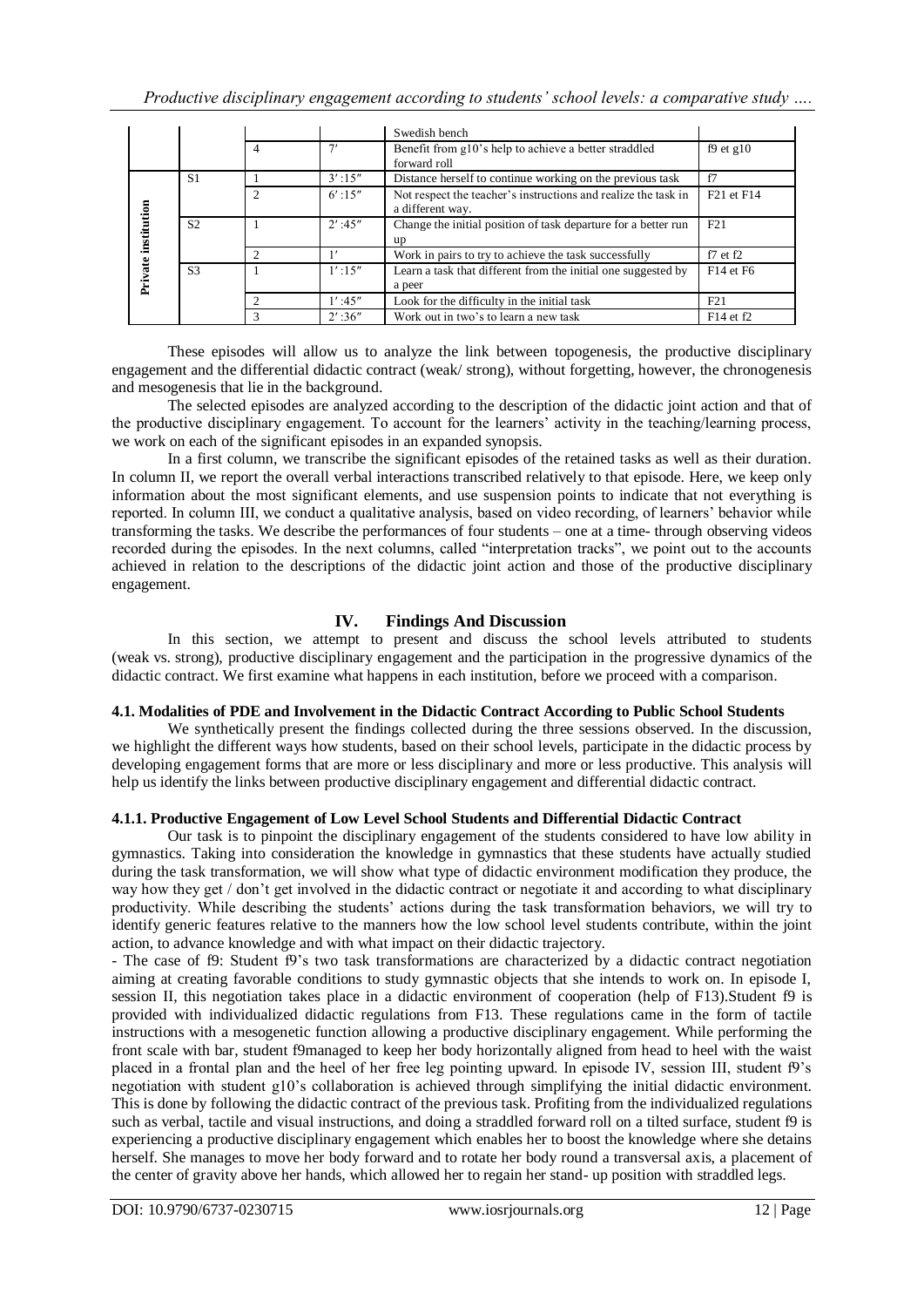|             |                |                |           | Swedish bench                                                                      |                                    |
|-------------|----------------|----------------|-----------|------------------------------------------------------------------------------------|------------------------------------|
|             |                | $\overline{4}$ | יר        | Benefit from g10's help to achieve a better straddled<br>forward roll              | $f9$ et g $10$                     |
|             | S1             |                | $3'$ :15" | Distance herself to continue working on the previous task                          | f7                                 |
|             |                | $\overline{c}$ | $6'$ :15" | Not respect the teacher's instructions and realize the task in<br>a different way. | F <sub>21</sub> et F <sub>14</sub> |
| institution | S <sub>2</sub> |                | $2'$ :45" | Change the initial position of task departure for a better run<br>up               | F21                                |
|             |                | $\mathcal{D}$  |           | Work in pairs to try to achieve the task successfully                              | $f7$ et $f2$                       |
| Private     | S <sub>3</sub> |                | $1'$ :15" | Learn a task that different from the initial one suggested by<br>a peer            | F14 et F6                          |
|             |                |                | $1'$ :45" | Look for the difficulty in the initial task                                        | F21                                |
|             |                | 3              | $2'$ :36" | Work out in two's to learn a new task                                              | F14 et f2                          |

These episodes will allow us to analyze the link between topogenesis, the productive disciplinary engagement and the differential didactic contract (weak/ strong), without forgetting, however, the chronogenesis and mesogenesis that lie in the background.

The selected episodes are analyzed according to the description of the didactic joint action and that of the productive disciplinary engagement. To account for the learners' activity in the teaching/learning process, we work on each of the significant episodes in an expanded synopsis.

In a first column, we transcribe the significant episodes of the retained tasks as well as their duration. In column II, we report the overall verbal interactions transcribed relatively to that episode. Here, we keep only information about the most significant elements, and use suspension points to indicate that not everything is reported. In column III, we conduct a qualitative analysis, based on video recording, of learners' behavior while transforming the tasks. We describe the performances of four students – one at a time- through observing videos recorded during the episodes. In the next columns, called "interpretation tracks", we point out to the accounts achieved in relation to the descriptions of the didactic joint action and those of the productive disciplinary engagement.

## **IV. Findings And Discussion**

In this section, we attempt to present and discuss the school levels attributed to students (weak vs. strong), productive disciplinary engagement and the participation in the progressive dynamics of the didactic contract. We first examine what happens in each institution, before we proceed with a comparison.

## **4.1. Modalities of PDE and Involvement in the Didactic Contract According to Public School Students**

We synthetically present the findings collected during the three sessions observed. In the discussion, we highlight the different ways how students, based on their school levels, participate in the didactic process by developing engagement forms that are more or less disciplinary and more or less productive. This analysis will help us identify the links between productive disciplinary engagement and differential didactic contract.

## **4.1.1. Productive Engagement of Low Level School Students and Differential Didactic Contract**

Our task is to pinpoint the disciplinary engagement of the students considered to have low ability in gymnastics. Taking into consideration the knowledge in gymnastics that these students have actually studied during the task transformation, we will show what type of didactic environment modification they produce, the way how they get / don't get involved in the didactic contract or negotiate it and according to what disciplinary productivity. While describing the students' actions during the task transformation behaviors, we will try to identify generic features relative to the manners how the low school level students contribute, within the joint action, to advance knowledge and with what impact on their didactic trajectory.

- The case of f9: Student f9's two task transformations are characterized by a didactic contract negotiation aiming at creating favorable conditions to study gymnastic objects that she intends to work on. In episode I, session II, this negotiation takes place in a didactic environment of cooperation (help of F13).Student f9 is provided with individualized didactic regulations from F13. These regulations came in the form of tactile instructions with a mesogenetic function allowing a productive disciplinary engagement. While performing the front scale with bar, student f9managed to keep her body horizontally aligned from head to heel with the waist placed in a frontal plan and the heel of her free leg pointing upward. In episode IV, session III, student f9's negotiation with student g10's collaboration is achieved through simplifying the initial didactic environment. This is done by following the didactic contract of the previous task. Profiting from the individualized regulations such as verbal, tactile and visual instructions, and doing a straddled forward roll on a tilted surface, student f9 is experiencing a productive disciplinary engagement which enables her to boost the knowledge where she detains herself. She manages to move her body forward and to rotate her body round a transversal axis, a placement of the center of gravity above her hands, which allowed her to regain her stand- up position with straddled legs.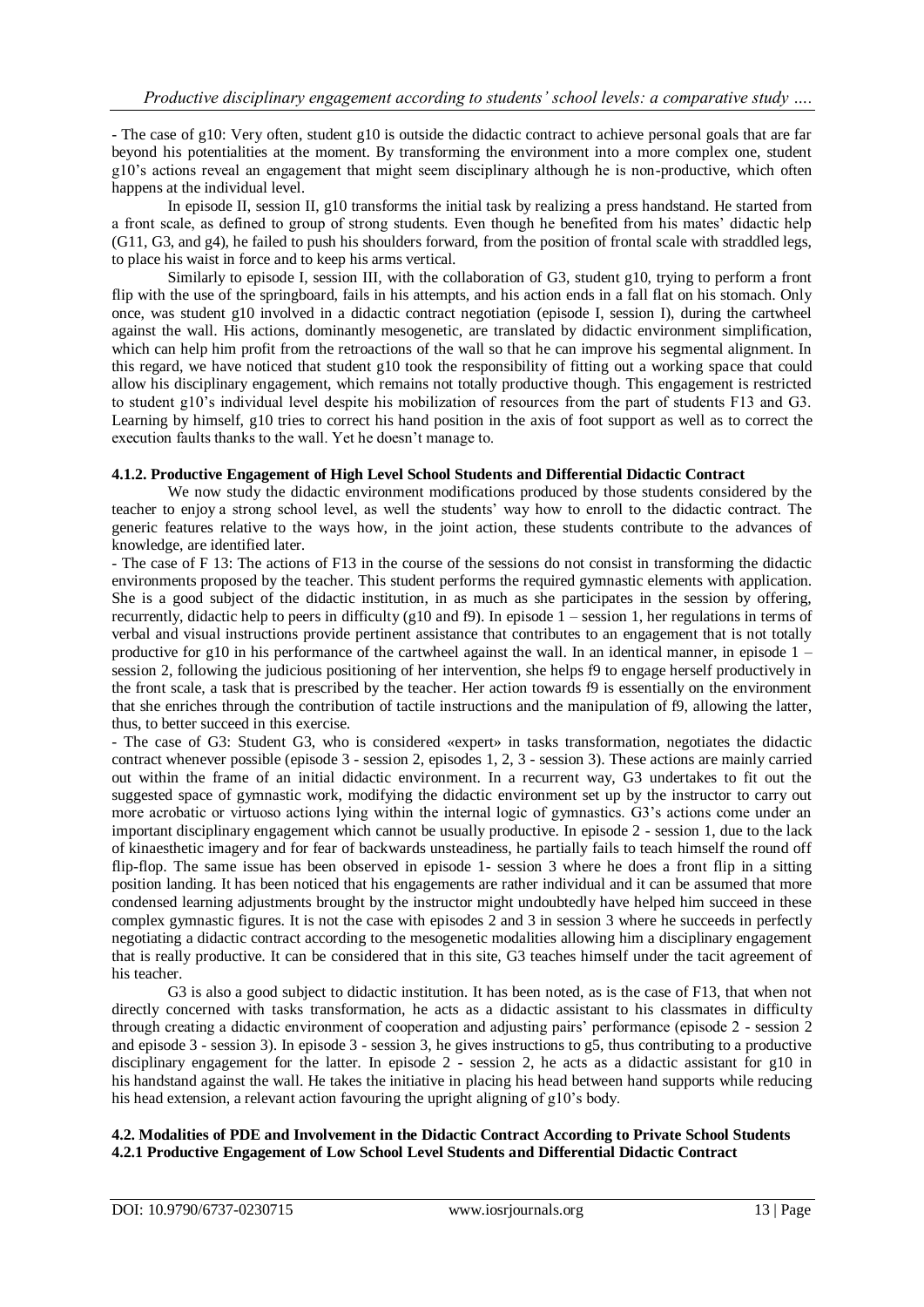- The case of g10: Very often, student g10 is outside the didactic contract to achieve personal goals that are far beyond his potentialities at the moment. By transforming the environment into a more complex one, student g10's actions reveal an engagement that might seem disciplinary although he is non-productive, which often happens at the individual level.

In episode II, session II, g10 transforms the initial task by realizing a press handstand. He started from a front scale, as defined to group of strong students. Even though he benefited from his mates' didactic help (G11, G3, and g4), he failed to push his shoulders forward, from the position of frontal scale with straddled legs, to place his waist in force and to keep his arms vertical.

Similarly to episode I, session III, with the collaboration of G3, student g10, trying to perform a front flip with the use of the springboard, fails in his attempts, and his action ends in a fall flat on his stomach. Only once, was student g10 involved in a didactic contract negotiation (episode I, session I), during the cartwheel against the wall. His actions, dominantly mesogenetic, are translated by didactic environment simplification, which can help him profit from the retroactions of the wall so that he can improve his segmental alignment. In this regard, we have noticed that student g10 took the responsibility of fitting out a working space that could allow his disciplinary engagement, which remains not totally productive though. This engagement is restricted to student g10's individual level despite his mobilization of resources from the part of students F13 and G3. Learning by himself, g10 tries to correct his hand position in the axis of foot support as well as to correct the execution faults thanks to the wall. Yet he doesn't manage to.

### **4.1.2. Productive Engagement of High Level School Students and Differential Didactic Contract**

We now study the didactic environment modifications produced by those students considered by the teacher to enjoy a strong school level, as well the students' way how to enroll to the didactic contract. The generic features relative to the ways how, in the joint action, these students contribute to the advances of knowledge, are identified later.

- The case of F 13: The actions of F13 in the course of the sessions do not consist in transforming the didactic environments proposed by the teacher. This student performs the required gymnastic elements with application. She is a good subject of the didactic institution, in as much as she participates in the session by offering, recurrently, didactic help to peers in difficulty (g10 and f9). In episode 1 – session 1, her regulations in terms of verbal and visual instructions provide pertinent assistance that contributes to an engagement that is not totally productive for g10 in his performance of the cartwheel against the wall. In an identical manner, in episode  $1$ session 2, following the judicious positioning of her intervention, she helps f9 to engage herself productively in the front scale, a task that is prescribed by the teacher. Her action towards f9 is essentially on the environment that she enriches through the contribution of tactile instructions and the manipulation of f9, allowing the latter, thus, to better succeed in this exercise.

- The case of G3: Student G3, who is considered «expert» in tasks transformation, negotiates the didactic contract whenever possible (episode 3 - session 2, episodes 1, 2, 3 - session 3). These actions are mainly carried out within the frame of an initial didactic environment. In a recurrent way, G3 undertakes to fit out the suggested space of gymnastic work, modifying the didactic environment set up by the instructor to carry out more acrobatic or virtuoso actions lying within the internal logic of gymnastics. G3's actions come under an important disciplinary engagement which cannot be usually productive. In episode 2 - session 1, due to the lack of kinaesthetic imagery and for fear of backwards unsteadiness, he partially fails to teach himself the round off flip-flop. The same issue has been observed in episode 1- session 3 where he does a front flip in a sitting position landing. It has been noticed that his engagements are rather individual and it can be assumed that more condensed learning adjustments brought by the instructor might undoubtedly have helped him succeed in these complex gymnastic figures. It is not the case with episodes 2 and 3 in session 3 where he succeeds in perfectly negotiating a didactic contract according to the mesogenetic modalities allowing him a disciplinary engagement that is really productive. It can be considered that in this site, G3 teaches himself under the tacit agreement of his teacher.

G3 is also a good subject to didactic institution. It has been noted, as is the case of F13, that when not directly concerned with tasks transformation, he acts as a didactic assistant to his classmates in difficulty through creating a didactic environment of cooperation and adjusting pairs' performance (episode 2 - session 2 and episode 3 - session 3). In episode 3 - session 3, he gives instructions to g5, thus contributing to a productive disciplinary engagement for the latter. In episode 2 - session 2, he acts as a didactic assistant for g10 in his handstand against the wall. He takes the initiative in placing his head between hand supports while reducing his head extension, a relevant action favouring the upright aligning of g10's body.

#### **4.2. Modalities of PDE and Involvement in the Didactic Contract According to Private School Students 4.2.1 Productive Engagement of Low School Level Students and Differential Didactic Contract**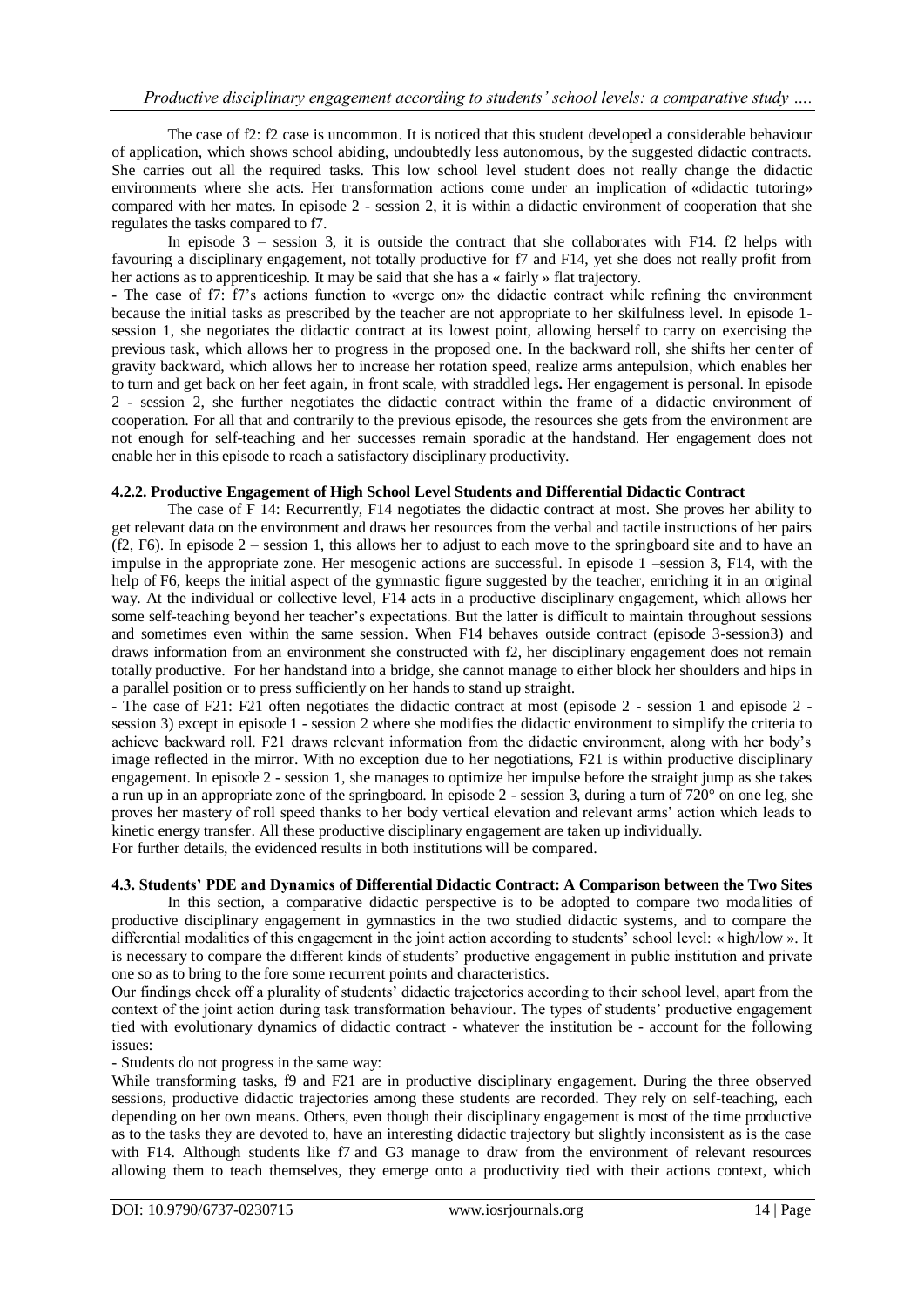The case of f2: f2 case is uncommon. It is noticed that this student developed a considerable behaviour of application, which shows school abiding, undoubtedly less autonomous, by the suggested didactic contracts. She carries out all the required tasks. This low school level student does not really change the didactic environments where she acts. Her transformation actions come under an implication of «didactic tutoring» compared with her mates. In episode 2 - session 2, it is within a didactic environment of cooperation that she regulates the tasks compared to f7.

In episode 3 – session 3, it is outside the contract that she collaborates with F14. f2 helps with favouring a disciplinary engagement, not totally productive for f7 and F14, yet she does not really profit from her actions as to apprenticeship. It may be said that she has a « fairly » flat trajectory.

- The case of f7: f7's actions function to «verge on» the didactic contract while refining the environment because the initial tasks as prescribed by the teacher are not appropriate to her skilfulness level. In episode 1 session 1, she negotiates the didactic contract at its lowest point, allowing herself to carry on exercising the previous task, which allows her to progress in the proposed one. In the backward roll, she shifts her center of gravity backward, which allows her to increase her rotation speed, realize arms antepulsion, which enables her to turn and get back on her feet again, in front scale, with straddled legs**.** Her engagement is personal. In episode 2 - session 2, she further negotiates the didactic contract within the frame of a didactic environment of cooperation. For all that and contrarily to the previous episode, the resources she gets from the environment are not enough for self-teaching and her successes remain sporadic at the handstand. Her engagement does not enable her in this episode to reach a satisfactory disciplinary productivity.

#### **4.2.2. Productive Engagement of High School Level Students and Differential Didactic Contract**

The case of F 14: Recurrently, F14 negotiates the didactic contract at most. She proves her ability to get relevant data on the environment and draws her resources from the verbal and tactile instructions of her pairs (f2, F6). In episode 2 – session 1, this allows her to adjust to each move to the springboard site and to have an impulse in the appropriate zone. Her mesogenic actions are successful. In episode 1 –session 3, F14, with the help of F6, keeps the initial aspect of the gymnastic figure suggested by the teacher, enriching it in an original way. At the individual or collective level, F14 acts in a productive disciplinary engagement, which allows her some self-teaching beyond her teacher's expectations. But the latter is difficult to maintain throughout sessions and sometimes even within the same session. When F14 behaves outside contract (episode 3-session3) and draws information from an environment she constructed with f2, her disciplinary engagement does not remain totally productive. For her handstand into a bridge, she cannot manage to either block her shoulders and hips in a parallel position or to press sufficiently on her hands to stand up straight.

- The case of F21: F21 often negotiates the didactic contract at most (episode 2 - session 1 and episode 2 session 3) except in episode 1 - session 2 where she modifies the didactic environment to simplify the criteria to achieve backward roll. F21 draws relevant information from the didactic environment, along with her body's image reflected in the mirror. With no exception due to her negotiations, F21 is within productive disciplinary engagement. In episode 2 - session 1, she manages to optimize her impulse before the straight jump as she takes a run up in an appropriate zone of the springboard. In episode 2 - session 3, during a turn of 720° on one leg, she proves her mastery of roll speed thanks to her body vertical elevation and relevant arms' action which leads to kinetic energy transfer. All these productive disciplinary engagement are taken up individually.

For further details, the evidenced results in both institutions will be compared.

#### **4.3. Students' PDE and Dynamics of Differential Didactic Contract: A Comparison between the Two Sites**

In this section, a comparative didactic perspective is to be adopted to compare two modalities of productive disciplinary engagement in gymnastics in the two studied didactic systems, and to compare the differential modalities of this engagement in the joint action according to students' school level: « high/low ». It is necessary to compare the different kinds of students' productive engagement in public institution and private one so as to bring to the fore some recurrent points and characteristics.

Our findings check off a plurality of students' didactic trajectories according to their school level, apart from the context of the joint action during task transformation behaviour. The types of students' productive engagement tied with evolutionary dynamics of didactic contract - whatever the institution be - account for the following issues:

- Students do not progress in the same way:

While transforming tasks, f9 and F21 are in productive disciplinary engagement. During the three observed sessions, productive didactic trajectories among these students are recorded. They rely on self-teaching, each depending on her own means. Others, even though their disciplinary engagement is most of the time productive as to the tasks they are devoted to, have an interesting didactic trajectory but slightly inconsistent as is the case with F14. Although students like f7 and G3 manage to draw from the environment of relevant resources allowing them to teach themselves, they emerge onto a productivity tied with their actions context, which